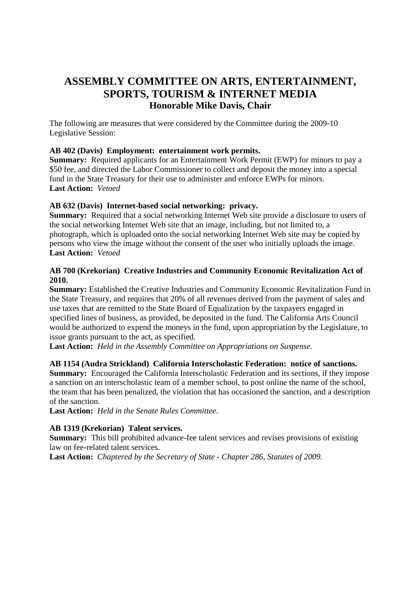# **ASSEMBLY COMMITTEE ON ARTS, ENTERTAINMENT, SPORTS, TOURISM & INTERNET MEDIA Honorable Mike Davis, Chair**

The following are measures that were considered by the Committee during the 2009-10 Legislative Session:

## **AB 402 (Davis) Employment: entertainment work permits.**

**Summary:** Required applicants for an Entertainment Work Permit (EWP) for minors to pay a \$50 fee, and directed the Labor Commissioner to collect and deposit the money into a special fund in the State Treasury for their use to administer and enforce EWPs for minors. **Last Action:** *Vetoed*

## **AB 632 (Davis) Internet-based social networking: privacy.**

**Summary:** Required that a social networking Internet Web site provide a disclosure to users of the social networking Internet Web site that an image, including, but not limited to, a photograph, which is uploaded onto the social networking Internet Web site may be copied by persons who view the image without the consent of the user who initially uploads the image. **Last Action:** *Vetoed*

## **AB 700 (Krekorian) Creative Industries and Community Economic Revitalization Act of 2010.**

**Summary:** Established the Creative Industries and Community Economic Revitalization Fund in the State Treasury, and requires that 20% of all revenues derived from the payment of sales and use taxes that are remitted to the State Board of Equalization by the taxpayers engaged in specified lines of business, as provided, be deposited in the fund. The California Arts Council would be authorized to expend the moneys in the fund, upon appropriation by the Legislature, to issue grants pursuant to the act, as specified.

**Last Action:** *Held in the Assembly Committee on Appropriations on Suspense.*

#### **AB 1154 (Audra Strickland) California Interscholastic Federation: notice of sanctions.**

**Summary:** Encouraged the California Interscholastic Federation and its sections, if they impose a sanction on an interscholastic team of a member school, to post online the name of the school, the team that has been penalized, the violation that has occasioned the sanction, and a description of the sanction.

**Last Action:** *Held in the Senate Rules Committee*.

#### **AB 1319 (Krekorian) Talent services.**

**Summary:** This bill prohibited advance-fee talent services and revises provisions of existing law on fee-related talent services.

**Last Action:** *Chaptered by the Secretary of State - Chapter 286, Statutes of 2009.*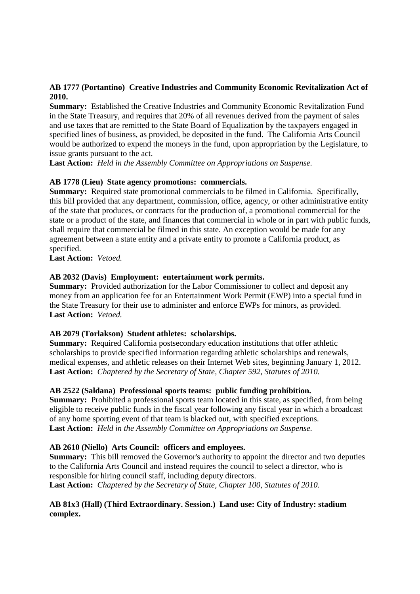## **AB 1777 (Portantino) Creative Industries and Community Economic Revitalization Act of 2010.**

**Summary:** Established the Creative Industries and Community Economic Revitalization Fund in the State Treasury, and requires that 20% of all revenues derived from the payment of sales and use taxes that are remitted to the State Board of Equalization by the taxpayers engaged in specified lines of business, as provided, be deposited in the fund. The California Arts Council would be authorized to expend the moneys in the fund, upon appropriation by the Legislature, to issue grants pursuant to the act.

**Last Action:** *Held in the Assembly Committee on Appropriations on Suspense.* 

#### **AB 1778 (Lieu) State agency promotions: commercials.**

**Summary:** Required state promotional commercials to be filmed in California. Specifically, this bill provided that any department, commission, office, agency, or other administrative entity of the state that produces, or contracts for the production of, a promotional commercial for the state or a product of the state, and finances that commercial in whole or in part with public funds, shall require that commercial be filmed in this state. An exception would be made for any agreement between a state entity and a private entity to promote a California product, as specified.

**Last Action:** *Vetoed.*

#### **AB 2032 (Davis) Employment: entertainment work permits.**

**Summary:** Provided authorization for the Labor Commissioner to collect and deposit any money from an application fee for an Entertainment Work Permit (EWP) into a special fund in the State Treasury for their use to administer and enforce EWPs for minors, as provided. **Last Action:** *Vetoed.* 

#### **AB 2079 (Torlakson) Student athletes: scholarships.**

**Summary:** Required California postsecondary education institutions that offer athletic scholarships to provide specified information regarding athletic scholarships and renewals, medical expenses, and athletic releases on their Internet Web sites, beginning January 1, 2012. **Last Action:** *Chaptered by the Secretary of State, Chapter 592, Statutes of 2010.* 

#### **AB 2522 (Saldana) Professional sports teams: public funding prohibition.**

**Summary:** Prohibited a professional sports team located in this state, as specified, from being eligible to receive public funds in the fiscal year following any fiscal year in which a broadcast of any home sporting event of that team is blacked out, with specified exceptions. **Last Action:** *Held in the Assembly Committee on Appropriations on Suspense.* 

#### **AB 2610 (Niello) Arts Council: officers and employees.**

**Summary:** This bill removed the Governor's authority to appoint the director and two deputies to the California Arts Council and instead requires the council to select a director, who is responsible for hiring council staff, including deputy directors. **Last Action:** *Chaptered by the Secretary of State, Chapter 100, Statutes of 2010.*

#### **AB 81x3 (Hall) (Third Extraordinary. Session.) Land use: City of Industry: stadium complex.**